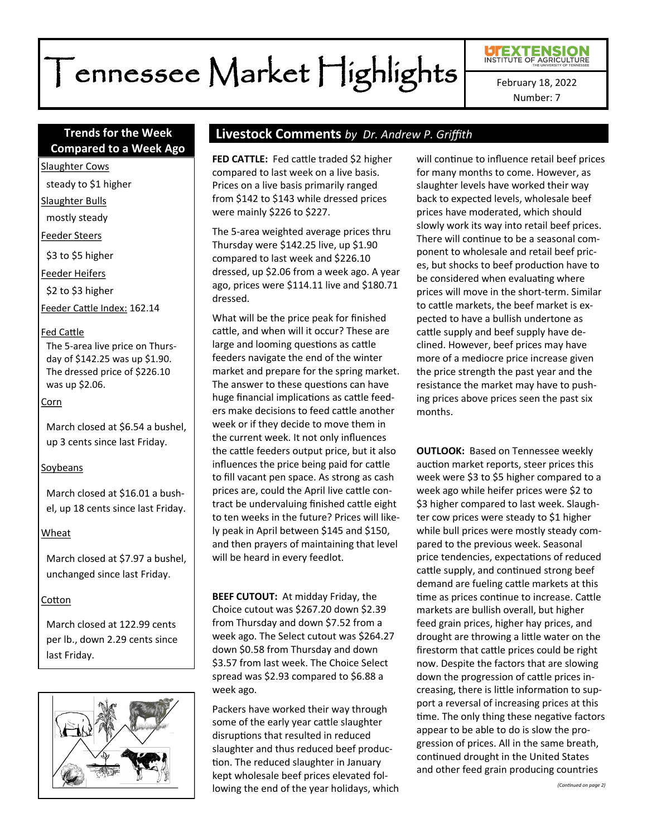# Tennessee Market Highlights

Number: 7

# **Compared to a Week Ago**

Slaughter Cows

steady to \$1 higher

Slaughter Bulls

mostly steady

Feeder Steers

\$3 to \$5 higher

Feeder Heifers

\$2 to \$3 higher

Feeder Cattle Index: 162.14

#### Fed Cattle

The 5-area live price on Thursday of \$142.25 was up \$1.90. The dressed price of \$226.10 was up \$2.06.

#### Corn

March closed at \$6.54 a bushel, up 3 cents since last Friday.

#### Soybeans

March closed at \$16.01 a bushel, up 18 cents since last Friday.

#### Wheat

March closed at \$7.97 a bushel, unchanged since last Friday.

#### Cotton

March closed at 122.99 cents per lb., down 2.29 cents since last Friday.



# **Trends for the Week Livestock Comments** *by Dr. Andrew P. Griffith*

**FED CATTLE:** Fed cattle traded \$2 higher compared to last week on a live basis. Prices on a live basis primarily ranged from \$142 to \$143 while dressed prices were mainly \$226 to \$227.

The 5-area weighted average prices thru Thursday were \$142.25 live, up \$1.90 compared to last week and \$226.10 dressed, up \$2.06 from a week ago. A year ago, prices were \$114.11 live and \$180.71 dressed.

What will be the price peak for finished cattle, and when will it occur? These are large and looming questions as cattle feeders navigate the end of the winter market and prepare for the spring market. The answer to these questions can have huge financial implications as cattle feeders make decisions to feed cattle another week or if they decide to move them in the current week. It not only influences the cattle feeders output price, but it also influences the price being paid for cattle to fill vacant pen space. As strong as cash prices are, could the April live cattle contract be undervaluing finished cattle eight to ten weeks in the future? Prices will likely peak in April between \$145 and \$150, and then prayers of maintaining that level will be heard in every feedlot.

**BEEF CUTOUT:** At midday Friday, the Choice cutout was \$267.20 down \$2.39 from Thursday and down \$7.52 from a week ago. The Select cutout was \$264.27 down \$0.58 from Thursday and down \$3.57 from last week. The Choice Select spread was \$2.93 compared to \$6.88 a week ago.

Packers have worked their way through some of the early year cattle slaughter disruptions that resulted in reduced slaughter and thus reduced beef production. The reduced slaughter in January kept wholesale beef prices elevated following the end of the year holidays, which will continue to influence retail beef prices for many months to come. However, as slaughter levels have worked their way back to expected levels, wholesale beef prices have moderated, which should slowly work its way into retail beef prices. There will continue to be a seasonal component to wholesale and retail beef prices, but shocks to beef production have to be considered when evaluating where prices will move in the short-term. Similar to cattle markets, the beef market is expected to have a bullish undertone as cattle supply and beef supply have declined. However, beef prices may have more of a mediocre price increase given the price strength the past year and the resistance the market may have to pushing prices above prices seen the past six months.

**OUTLOOK:** Based on Tennessee weekly auction market reports, steer prices this week were \$3 to \$5 higher compared to a week ago while heifer prices were \$2 to \$3 higher compared to last week. Slaughter cow prices were steady to \$1 higher while bull prices were mostly steady compared to the previous week. Seasonal price tendencies, expectations of reduced cattle supply, and continued strong beef demand are fueling cattle markets at this time as prices continue to increase. Cattle markets are bullish overall, but higher feed grain prices, higher hay prices, and drought are throwing a little water on the firestorm that cattle prices could be right now. Despite the factors that are slowing down the progression of cattle prices increasing, there is little information to support a reversal of increasing prices at this time. The only thing these negative factors appear to be able to do is slow the progression of prices. All in the same breath, continued drought in the United States and other feed grain producing countries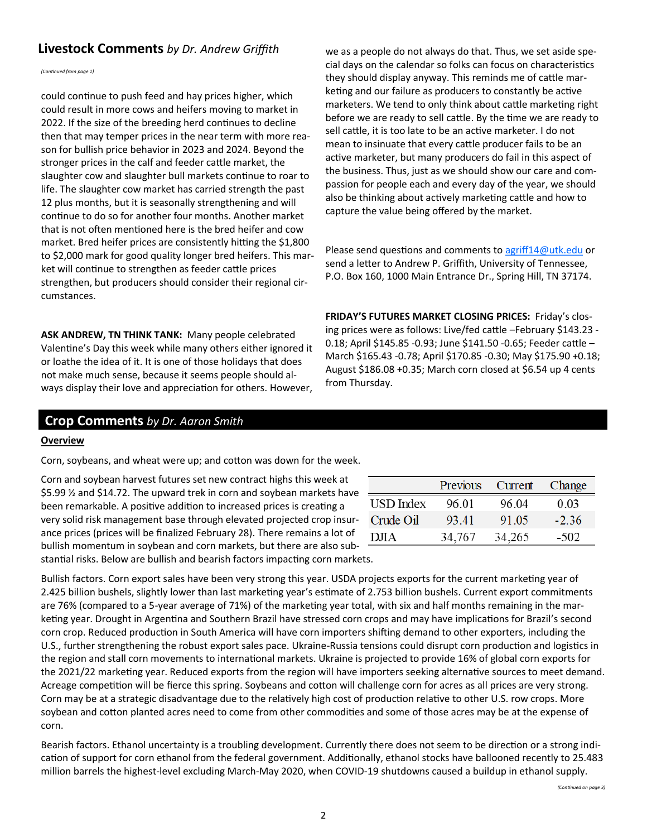# **Livestock Comments** by Dr. Andrew Griffith we as a people do not always do that. Thus, we set aside spe-

*(Continued from page 1)*

could continue to push feed and hay prices higher, which could result in more cows and heifers moving to market in 2022. If the size of the breeding herd continues to decline then that may temper prices in the near term with more reason for bullish price behavior in 2023 and 2024. Beyond the stronger prices in the calf and feeder cattle market, the slaughter cow and slaughter bull markets continue to roar to life. The slaughter cow market has carried strength the past 12 plus months, but it is seasonally strengthening and will continue to do so for another four months. Another market that is not often mentioned here is the bred heifer and cow market. Bred heifer prices are consistently hitting the \$1,800 to \$2,000 mark for good quality longer bred heifers. This market will continue to strengthen as feeder cattle prices strengthen, but producers should consider their regional circumstances.

**ASK ANDREW, TN THINK TANK:** Many people celebrated Valentine's Day this week while many others either ignored it or loathe the idea of it. It is one of those holidays that does not make much sense, because it seems people should always display their love and appreciation for others. However, cial days on the calendar so folks can focus on characteristics they should display anyway. This reminds me of cattle marketing and our failure as producers to constantly be active marketers. We tend to only think about cattle marketing right before we are ready to sell cattle. By the time we are ready to sell cattle, it is too late to be an active marketer. I do not mean to insinuate that every cattle producer fails to be an active marketer, but many producers do fail in this aspect of the business. Thus, just as we should show our care and compassion for people each and every day of the year, we should also be thinking about actively marketing cattle and how to capture the value being offered by the market.

Please send questions and comments to [agriff14@utk.edu](mailto:agriff14@utk.edu) or send a letter to Andrew P. Griffith, University of Tennessee, P.O. Box 160, 1000 Main Entrance Dr., Spring Hill, TN 37174.

**FRIDAY'S FUTURES MARKET CLOSING PRICES:** Friday's closing prices were as follows: Live/fed cattle –February \$143.23 - 0.18; April \$145.85 -0.93; June \$141.50 -0.65; Feeder cattle – March \$165.43 -0.78; April \$170.85 -0.30; May \$175.90 +0.18; August \$186.08 +0.35; March corn closed at \$6.54 up 4 cents from Thursday.

### **Crop Comments** *by Dr. Aaron Smith*

#### **Overview**

Corn, soybeans, and wheat were up; and cotton was down for the week.

Corn and soybean harvest futures set new contract highs this week at \$5.99 ½ and \$14.72. The upward trek in corn and soybean markets have been remarkable. A positive addition to increased prices is creating a very solid risk management base through elevated projected crop insurance prices (prices will be finalized February 28). There remains a lot of bullish momentum in soybean and corn markets, but there are also substantial risks. Below are bullish and bearish factors impacting corn markets.

|  |           | Previous | Current | Change  |
|--|-----------|----------|---------|---------|
|  | USD Index | 96.01    | 96.04   | 0.03    |
|  | Crude Oil | 93.41    | 91.05   | $-2.36$ |
|  | D.ITA     | 34,767   | 34,265  | $-502$  |
|  |           |          |         |         |

Bullish factors. Corn export sales have been very strong this year. USDA projects exports for the current marketing year of 2.425 billion bushels, slightly lower than last marketing year's estimate of 2.753 billion bushels. Current export commitments are 76% (compared to a 5-year average of 71%) of the marketing year total, with six and half months remaining in the marketing year. Drought in Argentina and Southern Brazil have stressed corn crops and may have implications for Brazil's second corn crop. Reduced production in South America will have corn importers shifting demand to other exporters, including the U.S., further strengthening the robust export sales pace. Ukraine-Russia tensions could disrupt corn production and logistics in the region and stall corn movements to international markets. Ukraine is projected to provide 16% of global corn exports for the 2021/22 marketing year. Reduced exports from the region will have importers seeking alternative sources to meet demand. Acreage competition will be fierce this spring. Soybeans and cotton will challenge corn for acres as all prices are very strong. Corn may be at a strategic disadvantage due to the relatively high cost of production relative to other U.S. row crops. More soybean and cotton planted acres need to come from other commodities and some of those acres may be at the expense of corn.

Bearish factors. Ethanol uncertainty is a troubling development. Currently there does not seem to be direction or a strong indication of support for corn ethanol from the federal government. Additionally, ethanol stocks have ballooned recently to 25.483 million barrels the highest-level excluding March-May 2020, when COVID-19 shutdowns caused a buildup in ethanol supply.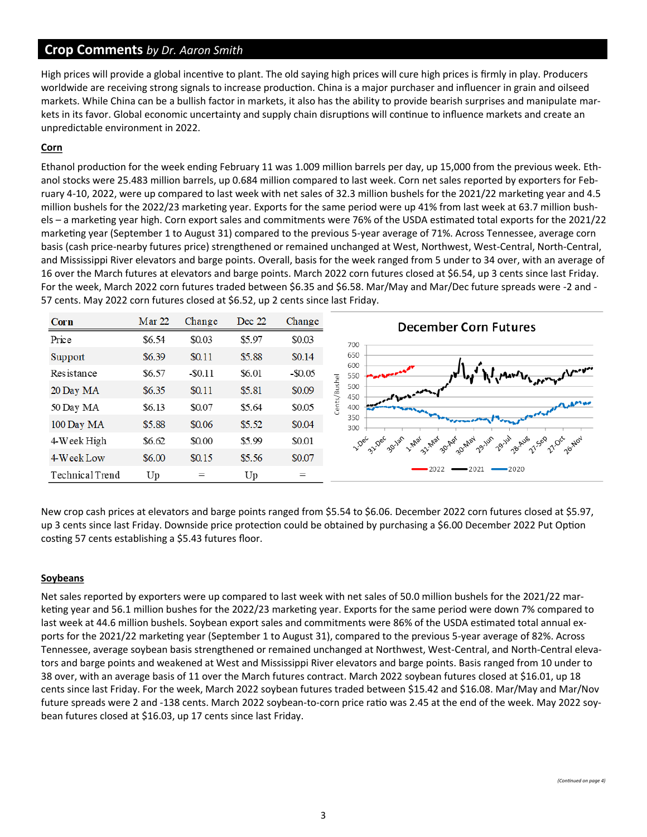# **Crop Comments** *by Dr. Aaron Smith*

High prices will provide a global incentive to plant. The old saying high prices will cure high prices is firmly in play. Producers worldwide are receiving strong signals to increase production. China is a major purchaser and influencer in grain and oilseed markets. While China can be a bullish factor in markets, it also has the ability to provide bearish surprises and manipulate markets in its favor. Global economic uncertainty and supply chain disruptions will continue to influence markets and create an unpredictable environment in 2022.

#### **Corn**

Ethanol production for the week ending February 11 was 1.009 million barrels per day, up 15,000 from the previous week. Ethanol stocks were 25.483 million barrels, up 0.684 million compared to last week. Corn net sales reported by exporters for February 4-10, 2022, were up compared to last week with net sales of 32.3 million bushels for the 2021/22 marketing year and 4.5 million bushels for the 2022/23 marketing year. Exports for the same period were up 41% from last week at 63.7 million bushels – a marketing year high. Corn export sales and commitments were 76% of the USDA estimated total exports for the 2021/22 marketing year (September 1 to August 31) compared to the previous 5-year average of 71%. Across Tennessee, average corn basis (cash price-nearby futures price) strengthened or remained unchanged at West, Northwest, West-Central, North-Central, and Mississippi River elevators and barge points. Overall, basis for the week ranged from 5 under to 34 over, with an average of 16 over the March futures at elevators and barge points. March 2022 corn futures closed at \$6.54, up 3 cents since last Friday. For the week, March 2022 corn futures traded between \$6.35 and \$6.58. Mar/May and Mar/Dec future spreads were -2 and - 57 cents. May 2022 corn futures closed at \$6.52, up 2 cents since last Friday.



New crop cash prices at elevators and barge points ranged from \$5.54 to \$6.06. December 2022 corn futures closed at \$5.97, up 3 cents since last Friday. Downside price protection could be obtained by purchasing a \$6.00 December 2022 Put Option costing 57 cents establishing a \$5.43 futures floor.

#### **Soybeans**

Net sales reported by exporters were up compared to last week with net sales of 50.0 million bushels for the 2021/22 marketing year and 56.1 million bushes for the 2022/23 marketing year. Exports for the same period were down 7% compared to last week at 44.6 million bushels. Soybean export sales and commitments were 86% of the USDA estimated total annual exports for the 2021/22 marketing year (September 1 to August 31), compared to the previous 5-year average of 82%. Across Tennessee, average soybean basis strengthened or remained unchanged at Northwest, West-Central, and North-Central elevators and barge points and weakened at West and Mississippi River elevators and barge points. Basis ranged from 10 under to 38 over, with an average basis of 11 over the March futures contract. March 2022 soybean futures closed at \$16.01, up 18 cents since last Friday. For the week, March 2022 soybean futures traded between \$15.42 and \$16.08. Mar/May and Mar/Nov future spreads were 2 and -138 cents. March 2022 soybean-to-corn price ratio was 2.45 at the end of the week. May 2022 soybean futures closed at \$16.03, up 17 cents since last Friday.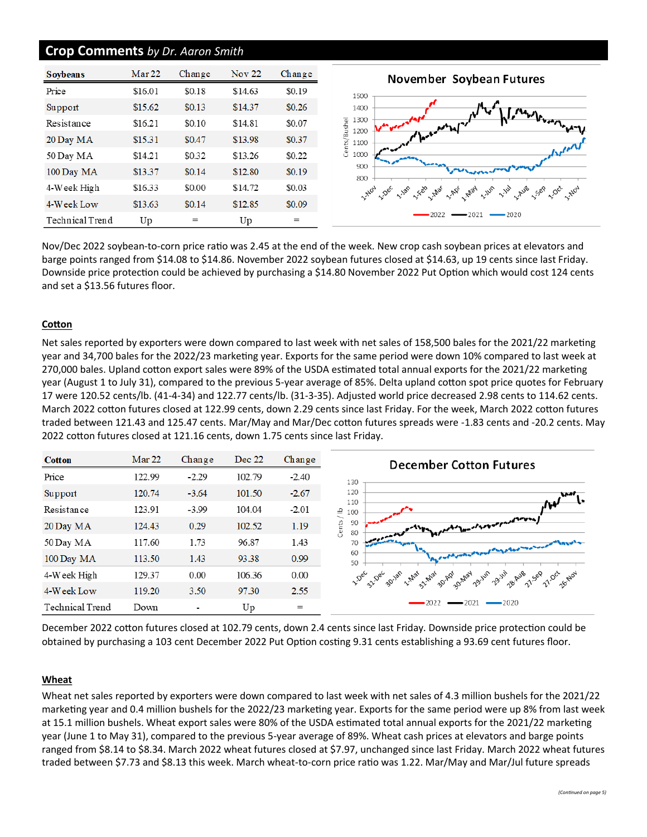## **Crop Comments** *by Dr. Aaron Smith*

| <b>Sovbeans</b> | Mar <sub>22</sub> | Change | <b>Nov 22</b> | Change |
|-----------------|-------------------|--------|---------------|--------|
| Price           | \$16.01           | \$0.18 | \$14.63       | \$0.19 |
| Support         | \$15.62           | \$0.13 | \$14.37       | \$0.26 |
| Resistance      | \$16.21           | \$0.10 | \$14.81       | \$0.07 |
| 20 Day MA       | \$15.31           | \$0.47 | \$13.98       | \$0.37 |
| 50 Day MA       | \$14.21           | \$0.32 | \$13.26       | \$0.22 |
| 100 Day MA      | \$13.37           | \$0.14 | \$12.80       | \$0.19 |
| 4-Week High     | \$16.33           | \$0.00 | \$14.72       | \$0.03 |
| 4-Week Low      | \$13.63           | \$0.14 | \$12.85       | \$0.09 |
| Technical Trend | Up                | $=$    | Up            | $=$    |

2021 Nov/Dec 2022 soybean-to-corn price ratio was 2.45 at the end of the week. New crop cash soybean prices at elevators and barge points ranged from \$14.08 to \$14.86. November 2022 soybean futures closed at \$14.63, up 19 cents since last Friday. Downside price protection could be achieved by purchasing a \$14.80 November 2022 Put Option which would cost 124 cents and set a \$13.56 futures floor.

#### **Cotton**

Net sales reported by exporters were down compared to last week with net sales of 158,500 bales for the 2021/22 marketing year and 34,700 bales for the 2022/23 marketing year. Exports for the same period were down 10% compared to last week at 270,000 bales. Upland cotton export sales were 89% of the USDA estimated total annual exports for the 2021/22 marketing year (August 1 to July 31), compared to the previous 5-year average of 85%. Delta upland cotton spot price quotes for February 17 were 120.52 cents/lb. (41-4-34) and 122.77 cents/lb. (31-3-35). Adjusted world price decreased 2.98 cents to 114.62 cents. March 2022 cotton futures closed at 122.99 cents, down 2.29 cents since last Friday. For the week, March 2022 cotton futures traded between 121.43 and 125.47 cents. Mar/May and Mar/Dec cotton futures spreads were -1.83 cents and -20.2 cents. May 2022 cotton futures closed at 121.16 cents, down 1.75 cents since last Friday.



December 2022 cotton futures closed at 102.79 cents, down 2.4 cents since last Friday. Downside price protection could be obtained by purchasing a 103 cent December 2022 Put Option costing 9.31 cents establishing a 93.69 cent futures floor.

#### **Wheat**

Wheat net sales reported by exporters were down compared to last week with net sales of 4.3 million bushels for the 2021/22 marketing year and 0.4 million bushels for the 2022/23 marketing year. Exports for the same period were up 8% from last week at 15.1 million bushels. Wheat export sales were 80% of the USDA estimated total annual exports for the 2021/22 marketing year (June 1 to May 31), compared to the previous 5-year average of 89%. Wheat cash prices at elevators and barge points ranged from \$8.14 to \$8.34. March 2022 wheat futures closed at \$7.97, unchanged since last Friday. March 2022 wheat futures traded between \$7.73 and \$8.13 this week. March wheat-to-corn price ratio was 1.22. Mar/May and Mar/Jul future spreads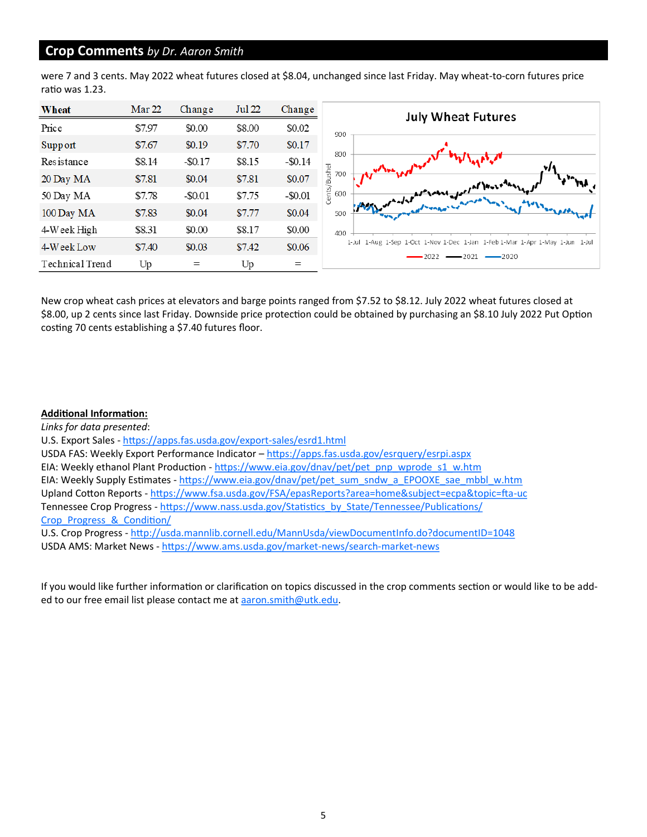# **Crop Comments** *by Dr. Aaron Smith*

were 7 and 3 cents. May 2022 wheat futures closed at \$8.04, unchanged since last Friday. May wheat-to-corn futures price ratio was 1.23.

| Wheat           | Mar 22 | Change     | <b>Jul 22</b> | Change     | <b>July Wheat Futures</b>                                                     |
|-----------------|--------|------------|---------------|------------|-------------------------------------------------------------------------------|
| Price           | \$7.97 | \$0.00     | \$8.00        | \$0.02     | 900                                                                           |
| Support         | \$7.67 | \$0.19     | \$7.70        | \$0.17     |                                                                               |
| Resistance      | \$8.14 | $-$ \$0.17 | \$8.15        | $-$ \$0.14 | 800                                                                           |
| 20 Day MA       | \$7.81 | \$0.04     | \$7.81        | \$0.07     | Bushel<br>700                                                                 |
| 50 Day MA       | \$7.78 | $-$ \$0.01 | \$7.75        | $-$ \$0.01 | response of all love about<br>Cents/I<br>600                                  |
| 100 Day MA      | \$7.83 | \$0.04     | \$7.77        | \$0.04     | 500                                                                           |
| $4$ Week High   | \$8.31 | \$0.00     | \$8.17        | \$0.00     | 400                                                                           |
| 4-Week Low      | \$7.40 | \$0.03     | \$7.42        | \$0.06     | 1-Jul 1-Aug 1-Sep 1-Oct 1-Nov 1-Dec 1-Jan 1-Feb 1-Mar 1-Apr 1-May 1-Jun 1-Jul |
| Technical Trend | Up     | $=$        | Up            | $=$        | $-2021$<br>2022<br>$-2020$                                                    |

New crop wheat cash prices at elevators and barge points ranged from \$7.52 to \$8.12. July 2022 wheat futures closed at \$8.00, up 2 cents since last Friday. Downside price protection could be obtained by purchasing an \$8.10 July 2022 Put Option costing 70 cents establishing a \$7.40 futures floor.

#### **Additional Information:**

*Links for data presented*: U.S. Export Sales - [https://apps.fas.usda.gov/export](https://apps.fas.usda.gov/export-sales/esrd1.html)-sales/esrd1.html USDA FAS: Weekly Export Performance Indicator - <https://apps.fas.usda.gov/esrquery/esrpi.aspx> EIA: Weekly ethanol Plant Production - [https://www.eia.gov/dnav/pet/pet\\_pnp\\_wprode\\_s1\\_w.htm](https://www.eia.gov/dnav/pet/pet_pnp_wprode_s1_w.htm) EIA: Weekly Supply Estimates - [https://www.eia.gov/dnav/pet/pet\\_sum\\_sndw\\_a\\_EPOOXE\\_sae\\_mbbl\\_w.htm](https://www.eia.gov/dnav/pet/pet_sum_sndw_a_EPOOXE_sae_mbbl_w.htm) Upland Cotton Reports - [https://www.fsa.usda.gov/FSA/epasReports?area=home&subject=ecpa&topic=fta](https://www.fsa.usda.gov/FSA/epasReports?area=home&subject=ecpa&topic=fta-uc)-uc Tennessee Crop Progress - [https://www.nass.usda.gov/Statistics\\_by\\_State/Tennessee/Publications/](https://www.nass.usda.gov/Statistics_by_State/Tennessee/Publications/Crop_Progress_&_Condition/) [Crop\\_Progress\\_&\\_Condition/](https://www.nass.usda.gov/Statistics_by_State/Tennessee/Publications/Crop_Progress_&_Condition/) U.S. Crop Progress - <http://usda.mannlib.cornell.edu/MannUsda/viewDocumentInfo.do?documentID=1048> USDA AMS: Market News - [https://www.ams.usda.gov/market](https://www.ams.usda.gov/market-news/search-market-news)-news/search-market-news

If you would like further information or clarification on topics discussed in the crop comments section or would like to be added to our free email list please contact me at aaron.smith@utk.edu.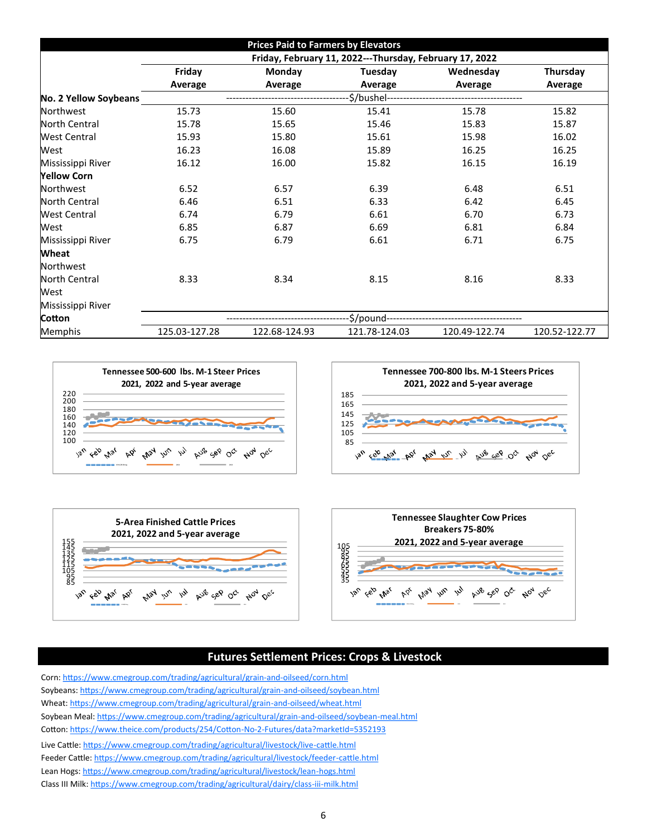|                       |                                                         | <b>Prices Paid to Farmers by Elevators</b> |               |               |               |  |  |  |
|-----------------------|---------------------------------------------------------|--------------------------------------------|---------------|---------------|---------------|--|--|--|
|                       | Friday, February 11, 2022---Thursday, February 17, 2022 |                                            |               |               |               |  |  |  |
|                       | Friday                                                  | Monday                                     | Tuesday       | Wednesday     | Thursday      |  |  |  |
|                       | Average                                                 | Average                                    | Average       | Average       | Average       |  |  |  |
| No. 2 Yellow Soybeans |                                                         |                                            |               |               |               |  |  |  |
| <b>Northwest</b>      | 15.73                                                   | 15.60                                      | 15.41         | 15.78         | 15.82         |  |  |  |
| North Central         | 15.78                                                   | 15.65                                      | 15.46         | 15.83         | 15.87         |  |  |  |
| <b>West Central</b>   | 15.93                                                   | 15.80                                      | 15.61         | 15.98         | 16.02         |  |  |  |
| West                  | 16.23                                                   | 16.08                                      | 15.89         | 16.25         | 16.25         |  |  |  |
| Mississippi River     | 16.12                                                   | 16.00                                      | 15.82         | 16.15         | 16.19         |  |  |  |
| <b>Yellow Corn</b>    |                                                         |                                            |               |               |               |  |  |  |
| Northwest             | 6.52                                                    | 6.57                                       | 6.39          | 6.48          | 6.51          |  |  |  |
| North Central         | 6.46                                                    | 6.51                                       | 6.33          | 6.42          | 6.45          |  |  |  |
| <b>West Central</b>   | 6.74                                                    | 6.79                                       | 6.61          | 6.70          | 6.73          |  |  |  |
| West                  | 6.85                                                    | 6.87                                       | 6.69          | 6.81          | 6.84          |  |  |  |
| Mississippi River     | 6.75                                                    | 6.79                                       | 6.61          | 6.71          | 6.75          |  |  |  |
| <b>Wheat</b>          |                                                         |                                            |               |               |               |  |  |  |
| Northwest             |                                                         |                                            |               |               |               |  |  |  |
| North Central         | 8.33                                                    | 8.34                                       | 8.15          | 8.16          | 8.33          |  |  |  |
| West                  |                                                         |                                            |               |               |               |  |  |  |
| Mississippi River     |                                                         |                                            |               |               |               |  |  |  |
| Cotton                | \$/pound--                                              |                                            |               |               |               |  |  |  |
| Memphis               | 125.03-127.28                                           | 122.68-124.93                              | 121.78-124.03 | 120.49-122.74 | 120.52-122.77 |  |  |  |







# **Futures Settlement Prices: Crops & Livestock**

Corn: [https://www.cmegroup.com/trading/agricultural/grain](https://www.cmegroup.com/trading/agricultural/grain-and-oilseed/corn.html)-and-oilseed/corn.html Soybeans: [https://www.cmegroup.com/trading/agricultural/grain](https://www.cmegroup.com/trading/agricultural/grain-and-oilseed/soybean.html)-and-oilseed/soybean.html Wheat: [https://www.cmegroup.com/trading/agricultural/grain](https://www.cmegroup.com/trading/agricultural/grain-and-oilseed/wheat.html)-and-oilseed/wheat.html Soybean Meal: [https://www.cmegroup.com/trading/agricultural/grain](https://www.cmegroup.com/trading/agricultural/grain-and-oilseed/soybean-meal.html)-and-oilseed/soybean-meal.html Cotton: [https://www.theice.com/products/254/Cotton](https://www.theice.com/products/254/Cotton-No-2-Futures/data?marketId=5352193)-No-2-Futures/data?marketId=5352193 Live Cattle: [https://www.cmegroup.com/trading/agricultural/livestock/live](https://www.cmegroup.com/trading/agricultural/livestock/live-cattle.html)-cattle.html Feeder Cattle: [https://www.cmegroup.com/trading/agricultural/livestock/feeder](https://www.cmegroup.com/trading/agricultural/livestock/feeder-cattle.html)-cattle.html Lean Hogs: [https://www.cmegroup.com/trading/agricultural/livestock/lean](https://www.cmegroup.com/trading/agricultural/livestock/lean-hogs.html)-hogs.html Class III Milk: [https://www.cmegroup.com/trading/agricultural/dairy/class](https://www.cmegroup.com/trading/agricultural/dairy/class-iii-milk.html)-iii-milk.html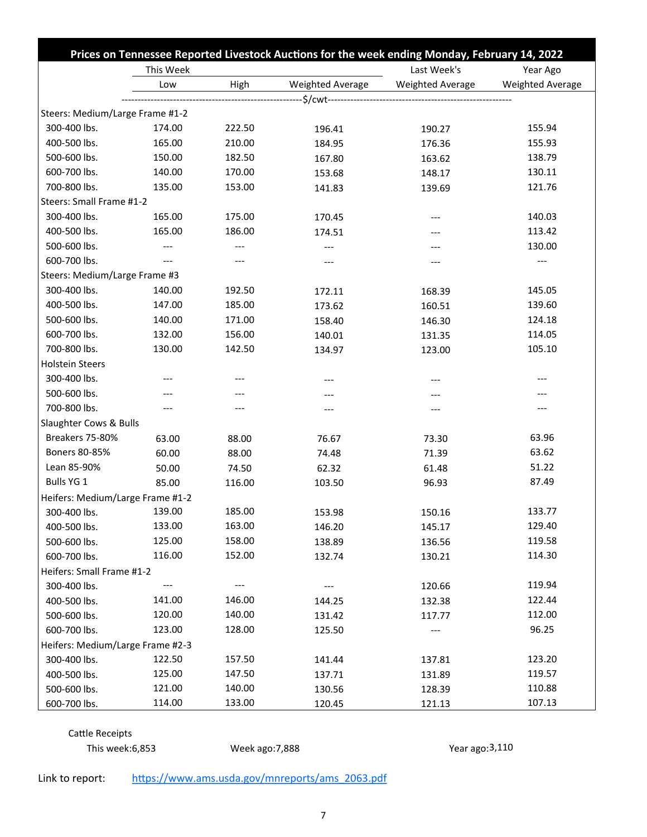|                                  |           | Prices on Tennessee Reported Livestock Auctions for the week ending Monday, February 14, 2022 |                  |                         |                         |  |
|----------------------------------|-----------|-----------------------------------------------------------------------------------------------|------------------|-------------------------|-------------------------|--|
|                                  | This Week |                                                                                               |                  | Last Week's<br>Year Ago |                         |  |
|                                  | Low       | High                                                                                          | Weighted Average | Weighted Average        | <b>Weighted Average</b> |  |
|                                  |           |                                                                                               |                  |                         |                         |  |
| Steers: Medium/Large Frame #1-2  |           |                                                                                               |                  |                         |                         |  |
| 300-400 lbs.                     | 174.00    | 222.50                                                                                        | 196.41           | 190.27                  | 155.94                  |  |
| 400-500 lbs.                     | 165.00    | 210.00                                                                                        | 184.95           | 176.36                  | 155.93                  |  |
| 500-600 lbs.                     | 150.00    | 182.50                                                                                        | 167.80           | 163.62                  | 138.79                  |  |
| 600-700 lbs.                     | 140.00    | 170.00                                                                                        | 153.68           | 148.17                  | 130.11                  |  |
| 700-800 lbs.                     | 135.00    | 153.00                                                                                        | 141.83           | 139.69                  | 121.76                  |  |
| Steers: Small Frame #1-2         |           |                                                                                               |                  |                         |                         |  |
| 300-400 lbs.                     | 165.00    | 175.00                                                                                        | 170.45           | ---                     | 140.03                  |  |
| 400-500 lbs.                     | 165.00    | 186.00                                                                                        | 174.51           |                         | 113.42                  |  |
| 500-600 lbs.                     | ---       | ---                                                                                           | ---              | ---                     | 130.00                  |  |
| 600-700 lbs.                     | $---$     |                                                                                               |                  | ---                     |                         |  |
| Steers: Medium/Large Frame #3    |           |                                                                                               |                  |                         |                         |  |
| 300-400 lbs.                     | 140.00    | 192.50                                                                                        | 172.11           | 168.39                  | 145.05                  |  |
| 400-500 lbs.                     | 147.00    | 185.00                                                                                        | 173.62           | 160.51                  | 139.60                  |  |
| 500-600 lbs.                     | 140.00    | 171.00                                                                                        | 158.40           | 146.30                  | 124.18                  |  |
| 600-700 lbs.                     | 132.00    | 156.00                                                                                        | 140.01           | 131.35                  | 114.05                  |  |
| 700-800 lbs.                     | 130.00    | 142.50                                                                                        | 134.97           | 123.00                  | 105.10                  |  |
| <b>Holstein Steers</b>           |           |                                                                                               |                  |                         |                         |  |
| 300-400 lbs.                     |           |                                                                                               | ---              | ---                     |                         |  |
| 500-600 lbs.                     |           |                                                                                               |                  |                         |                         |  |
| 700-800 lbs.                     |           | ---                                                                                           | ---              | $---$                   |                         |  |
| Slaughter Cows & Bulls           |           |                                                                                               |                  |                         |                         |  |
| Breakers 75-80%                  | 63.00     | 88.00                                                                                         | 76.67            | 73.30                   | 63.96                   |  |
| Boners 80-85%                    | 60.00     | 88.00                                                                                         | 74.48            | 71.39                   | 63.62                   |  |
| Lean 85-90%                      | 50.00     | 74.50                                                                                         | 62.32            | 61.48                   | 51.22                   |  |
| Bulls YG 1                       | 85.00     | 116.00                                                                                        | 103.50           | 96.93                   | 87.49                   |  |
| Heifers: Medium/Large Frame #1-2 |           |                                                                                               |                  |                         |                         |  |
| 300-400 lbs.                     | 139.00    | 185.00                                                                                        | 153.98           | 150.16                  | 133.77                  |  |
| 400-500 lbs.                     | 133.00    | 163.00                                                                                        | 146.20           | 145.17                  | 129.40                  |  |
| 500-600 lbs.                     | 125.00    | 158.00                                                                                        | 138.89           | 136.56                  | 119.58                  |  |
| 600-700 lbs.                     | 116.00    | 152.00                                                                                        | 132.74           | 130.21                  | 114.30                  |  |
| Heifers: Small Frame #1-2        |           |                                                                                               |                  |                         |                         |  |
| 300-400 lbs.                     |           |                                                                                               |                  | 120.66                  | 119.94                  |  |
| 400-500 lbs.                     | 141.00    | 146.00                                                                                        | 144.25           | 132.38                  | 122.44                  |  |
| 500-600 lbs.                     | 120.00    | 140.00                                                                                        | 131.42           | 117.77                  | 112.00                  |  |
| 600-700 lbs.                     | 123.00    | 128.00                                                                                        | 125.50           | ---                     | 96.25                   |  |
| Heifers: Medium/Large Frame #2-3 |           |                                                                                               |                  |                         |                         |  |
| 300-400 lbs.                     | 122.50    | 157.50                                                                                        | 141.44           | 137.81                  | 123.20                  |  |
| 400-500 lbs.                     | 125.00    | 147.50                                                                                        | 137.71           | 131.89                  | 119.57                  |  |
| 500-600 lbs.                     | 121.00    | 140.00                                                                                        | 130.56           | 128.39                  | 110.88                  |  |
| 600-700 lbs.                     | 114.00    | 133.00                                                                                        | 120.45           | 121.13                  | 107.13                  |  |

Cattle Receipts This week:6,853 Week ago:7,888 Year ago:3,110